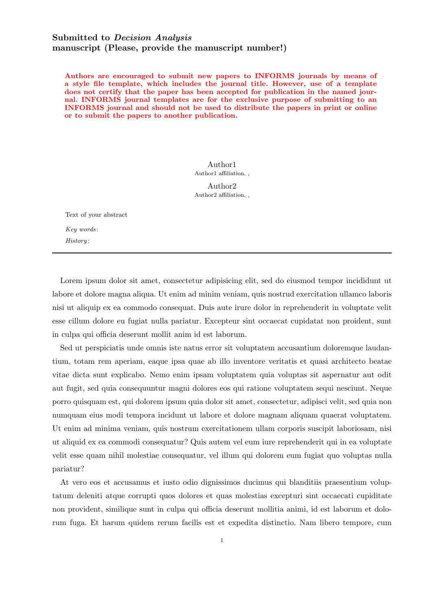## Submitted to Decision Analysis manuscript (Please, provide the manuscript number!)

Authors are encouraged to submit new papers to INFORMS journals by means of a style file template, which includes the journal title. However, use of a template does not certify that the paper has been accepted for publication in the named journal. INFORMS journal templates are for the exclusive purpose of submitting to an INFORMS journal and should not be used to distribute the papers in print or online or to submit the papers to another publication.

> Author1 Author1 affiliation, ,

> Author2 Author2 affiliation, ,

Text of your abstract Key words : History :

Lorem ipsum dolor sit amet, consectetur adipisicing elit, sed do eiusmod tempor incididunt ut labore et dolore magna aliqua. Ut enim ad minim veniam, quis nostrud exercitation ullamco laboris nisi ut aliquip ex ea commodo consequat. Duis aute irure dolor in reprehenderit in voluptate velit esse cillum dolore eu fugiat nulla pariatur. Excepteur sint occaecat cupidatat non proident, sunt in culpa qui officia deserunt mollit anim id est laborum.

Sed ut perspiciatis unde omnis iste natus error sit voluptatem accusantium doloremque laudantium, totam rem aperiam, eaque ipsa quae ab illo inventore veritatis et quasi architecto beatae vitae dicta sunt explicabo. Nemo enim ipsam voluptatem quia voluptas sit aspernatur aut odit aut fugit, sed quia consequuntur magni dolores eos qui ratione voluptatem sequi nesciunt. Neque porro quisquam est, qui dolorem ipsum quia dolor sit amet, consectetur, adipisci velit, sed quia non numquam eius modi tempora incidunt ut labore et dolore magnam aliquam quaerat voluptatem. Ut enim ad minima veniam, quis nostrum exercitationem ullam corporis suscipit laboriosam, nisi ut aliquid ex ea commodi consequatur? Quis autem vel eum iure reprehenderit qui in ea voluptate velit esse quam nihil molestiae consequatur, vel illum qui dolorem eum fugiat quo voluptas nulla pariatur?

At vero eos et accusamus et iusto odio dignissimos ducimus qui blanditiis praesentium voluptatum deleniti atque corrupti quos dolores et quas molestias excepturi sint occaecati cupiditate non provident, similique sunt in culpa qui officia deserunt mollitia animi, id est laborum et dolorum fuga. Et harum quidem rerum facilis est et expedita distinctio. Nam libero tempore, cum